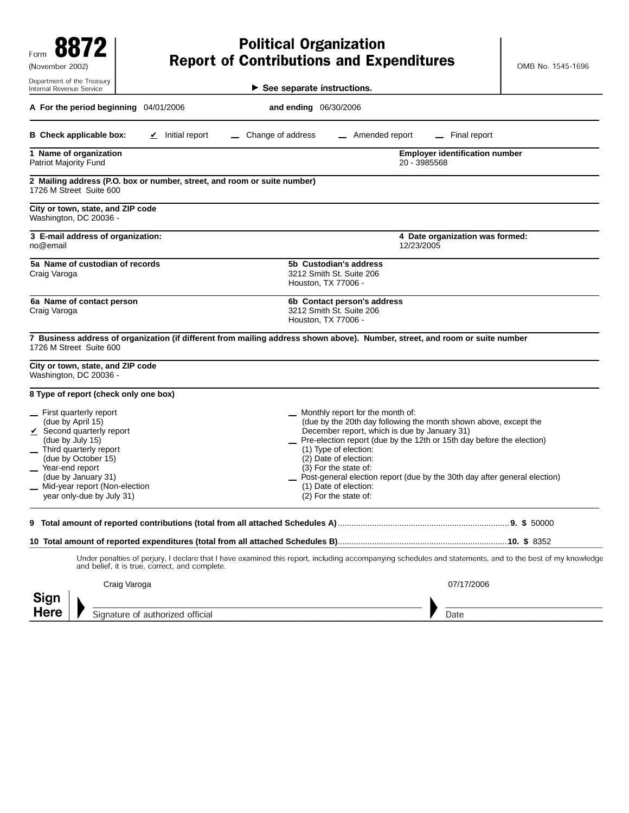| Form<br>(November 2002)                                                                                                                                                                                                                                          |                                                       | <b>Political Organization</b><br><b>Report of Contributions and Expenditures</b>                                                                                                                                                                                                                                                                                                                                                          | OMB No. 1545-1696               |
|------------------------------------------------------------------------------------------------------------------------------------------------------------------------------------------------------------------------------------------------------------------|-------------------------------------------------------|-------------------------------------------------------------------------------------------------------------------------------------------------------------------------------------------------------------------------------------------------------------------------------------------------------------------------------------------------------------------------------------------------------------------------------------------|---------------------------------|
| Department of the Treasury<br>Internal Revenue Service                                                                                                                                                                                                           |                                                       | $\blacktriangleright$ See separate instructions.                                                                                                                                                                                                                                                                                                                                                                                          |                                 |
| A For the period beginning 04/01/2006                                                                                                                                                                                                                            |                                                       | and ending 06/30/2006                                                                                                                                                                                                                                                                                                                                                                                                                     |                                 |
| <b>B</b> Check applicable box:                                                                                                                                                                                                                                   | $\angle$ Initial report                               | Change of address<br>Amended report                                                                                                                                                                                                                                                                                                                                                                                                       | Final report                    |
| 1 Name of organization<br>Patriot Majority Fund                                                                                                                                                                                                                  | <b>Employer identification number</b><br>20 - 3985568 |                                                                                                                                                                                                                                                                                                                                                                                                                                           |                                 |
| 2 Mailing address (P.O. box or number, street, and room or suite number)<br>1726 M Street Suite 600                                                                                                                                                              |                                                       |                                                                                                                                                                                                                                                                                                                                                                                                                                           |                                 |
| City or town, state, and ZIP code<br>Washington, DC 20036 -                                                                                                                                                                                                      |                                                       |                                                                                                                                                                                                                                                                                                                                                                                                                                           |                                 |
| 3 E-mail address of organization:<br>no@email                                                                                                                                                                                                                    |                                                       | 12/23/2005                                                                                                                                                                                                                                                                                                                                                                                                                                | 4 Date organization was formed: |
| 5a Name of custodian of records<br>Craig Varoga                                                                                                                                                                                                                  |                                                       | 5b Custodian's address<br>3212 Smith St. Suite 206<br>Houston, TX 77006 -                                                                                                                                                                                                                                                                                                                                                                 |                                 |
| 6a Name of contact person<br>Craig Varoga                                                                                                                                                                                                                        |                                                       | 6b Contact person's address<br>3212 Smith St. Suite 206<br>Houston, TX 77006 -                                                                                                                                                                                                                                                                                                                                                            |                                 |
| 1726 M Street Suite 600                                                                                                                                                                                                                                          |                                                       | 7 Business address of organization (if different from mailing address shown above). Number, street, and room or suite number                                                                                                                                                                                                                                                                                                              |                                 |
| City or town, state, and ZIP code<br>Washington, DC 20036 -                                                                                                                                                                                                      |                                                       |                                                                                                                                                                                                                                                                                                                                                                                                                                           |                                 |
| 8 Type of report (check only one box)                                                                                                                                                                                                                            |                                                       |                                                                                                                                                                                                                                                                                                                                                                                                                                           |                                 |
| First quarterly report<br>(due by April 15)<br>$\checkmark$ Second quarterly report<br>(due by July 15)<br>Third quarterly report<br>(due by October 15)<br>Year-end report<br>(due by January 31)<br>Mid-year report (Non-election<br>year only-due by July 31) |                                                       | Monthly report for the month of:<br>(due by the 20th day following the month shown above, except the<br>December report, which is due by January 31)<br>Pre-election report (due by the 12th or 15th day before the election)<br>(1) Type of election:<br>(2) Date of election:<br>(3) For the state of:<br>Post-general election report (due by the 30th day after general election)<br>(1) Date of election:<br>$(2)$ For the state of: |                                 |
| 9                                                                                                                                                                                                                                                                |                                                       |                                                                                                                                                                                                                                                                                                                                                                                                                                           |                                 |
|                                                                                                                                                                                                                                                                  |                                                       |                                                                                                                                                                                                                                                                                                                                                                                                                                           |                                 |
|                                                                                                                                                                                                                                                                  | and belief, it is true, correct, and complete.        | Under penalties of perjury, I declare that I have examined this report, including accompanying schedules and statements, and to the best of my knowledge                                                                                                                                                                                                                                                                                  |                                 |
| Craig Varoga<br>Sign                                                                                                                                                                                                                                             |                                                       |                                                                                                                                                                                                                                                                                                                                                                                                                                           | 07/17/2006                      |
| Here                                                                                                                                                                                                                                                             | Signature of authorized official                      |                                                                                                                                                                                                                                                                                                                                                                                                                                           | Date                            |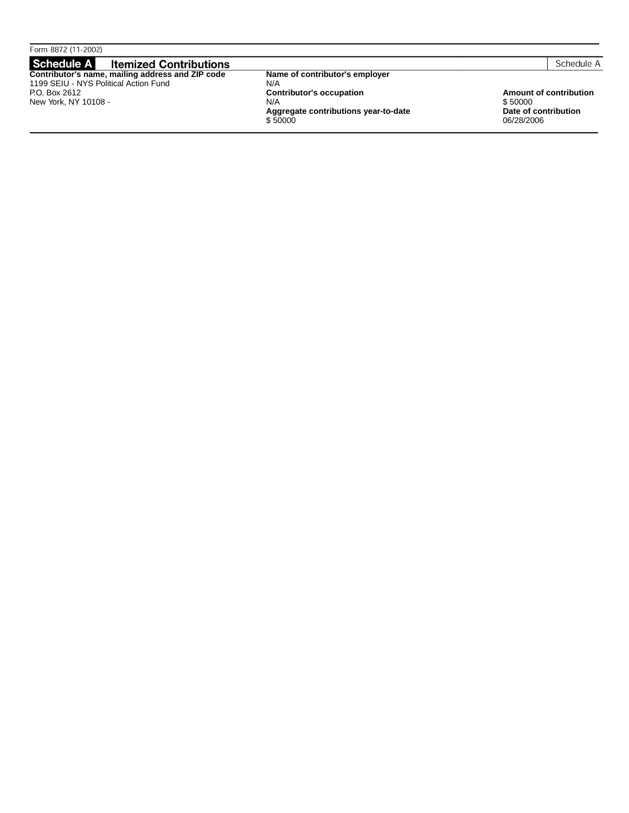| Form 8872 (11-2002)                              |                                      |                      |                        |
|--------------------------------------------------|--------------------------------------|----------------------|------------------------|
| Schedule A<br><b>Itemized Contributions</b>      |                                      |                      | Schedule A             |
| Contributor's name, mailing address and ZIP code | Name of contributor's employer       |                      |                        |
| 1199 SEIU - NYS Political Action Fund            | N/A                                  |                      |                        |
| P.O. Box 2612                                    | <b>Contributor's occupation</b>      |                      | Amount of contribution |
| New York, NY 10108 -                             | N/A                                  | \$50000              |                        |
|                                                  | Aggregate contributions year-to-date | Date of contribution |                        |
|                                                  | \$50000                              | 06/28/2006           |                        |